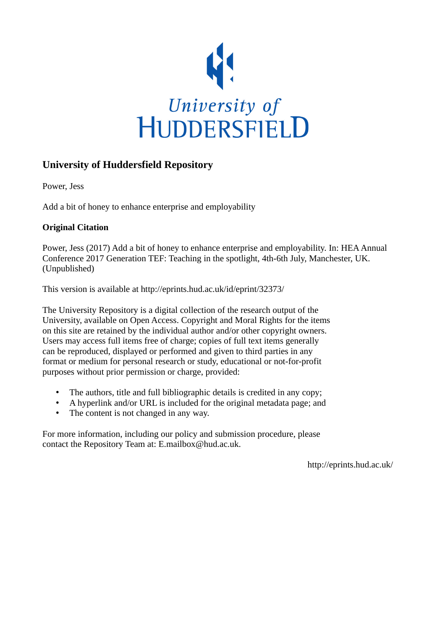

# **University of Huddersfield Repository**

Power, Jess

Add a bit of honey to enhance enterprise and employability

# **Original Citation**

Power, Jess (2017) Add a bit of honey to enhance enterprise and employability. In: HEA Annual Conference 2017 Generation TEF: Teaching in the spotlight, 4th-6th July, Manchester, UK. (Unpublished)

This version is available at http://eprints.hud.ac.uk/id/eprint/32373/

The University Repository is a digital collection of the research output of the University, available on Open Access. Copyright and Moral Rights for the items on this site are retained by the individual author and/or other copyright owners. Users may access full items free of charge; copies of full text items generally can be reproduced, displayed or performed and given to third parties in any format or medium for personal research or study, educational or not-for-profit purposes without prior permission or charge, provided:

- The authors, title and full bibliographic details is credited in any copy;
- A hyperlink and/or URL is included for the original metadata page; and
- The content is not changed in any way.

For more information, including our policy and submission procedure, please contact the Repository Team at: E.mailbox@hud.ac.uk.

http://eprints.hud.ac.uk/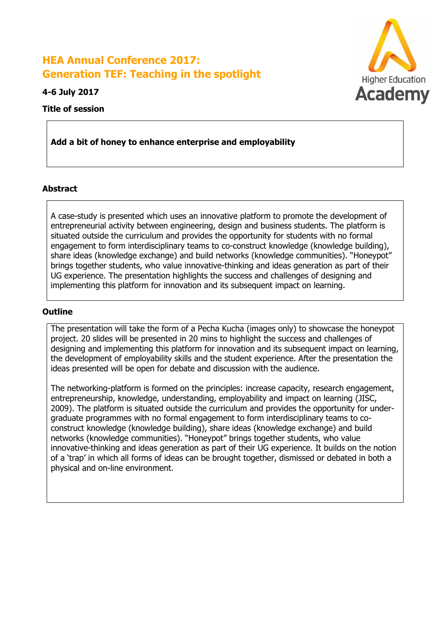# **HEA Annual Conference 2017: Generation TEF: Teaching in the spotlight**



**4-6 July 2017**

#### **Title of session**

# **Add a bit of honey to enhance enterprise and employability**

## **Abstract**

A case-study is presented which uses an innovative platform to promote the development of entrepreneurial activity between engineering, design and business students. The platform is situated outside the curriculum and provides the opportunity for students with no formal engagement to form interdisciplinary teams to co-construct knowledge (knowledge building), share ideas (knowledge exchange) and build networks (knowledge communities). "Honeypot" brings together students, who value innovative-thinking and ideas generation as part of their UG experience. The presentation highlights the success and challenges of designing and implementing this platform for innovation and its subsequent impact on learning.

#### **Outline**

The presentation will take the form of a Pecha Kucha (images only) to showcase the honeypot project. 20 slides will be presented in 20 mins to highlight the success and challenges of designing and implementing this platform for innovation and its subsequent impact on learning, the development of employability skills and the student experience. After the presentation the ideas presented will be open for debate and discussion with the audience.

The networking-platform is formed on the principles: increase capacity, research engagement, entrepreneurship, knowledge, understanding, employability and impact on learning (JISC, 2009). The platform is situated outside the curriculum and provides the opportunity for undergraduate programmes with no formal engagement to form interdisciplinary teams to coconstruct knowledge (knowledge building), share ideas (knowledge exchange) and build networks (knowledge communities). "Honeypot" brings together students, who value innovative-thinking and ideas generation as part of their UG experience. It builds on the notion of a 'trap' in which all forms of ideas can be brought together, dismissed or debated in both a physical and on-line environment.